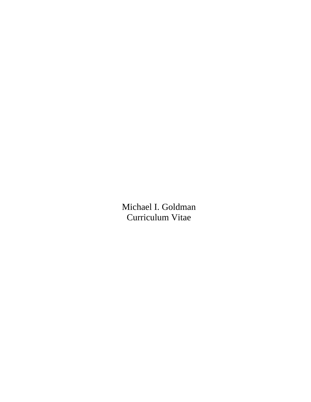Michael I. Goldman Curriculum Vitae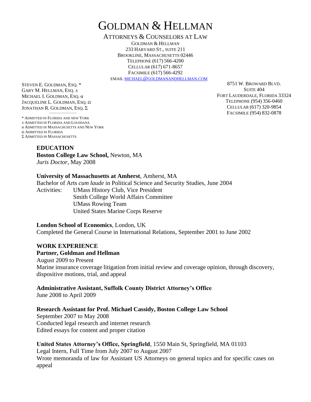# GOLDMAN & HELLMAN

ATTORNEYS & COUNSELORS AT LAW

GOLDMAN & HELLMAN 233 HARVARD ST., SUITE 211 BROOKLINE, MASSACHUSETTS 02446 TELEPHONE (617) 566-4200 CELLULAR (617) 671-8657 FACSIMILE (617) 566-4292

EMAIL MICHAEL@[GOLDMANANDHELLMAN](mailto:michael@goldmanandhellman.com).COM

STEVEN E. GOLDMAN, ESQ. \* GARY M. HELLMAN, ESQ. ± MICHAEL I. GOLDMAN, ESQ. α JACQUELINE L. GOLDMAN, ESQ. Ω JONATHAN R. GOLDMAN, ESQ. Σ

−−−−−−−−−−−− \* ADMITTED IN FLORIDA AND NEW YORK ± ADMITTED IN FLORIDA AND LOUISIANA α ADMITTED IN MASSACHUSETTS AND NEW YORK Ω ADMITTED IN FLORIDA Σ ADMITTED IN MASSACHUSETTS

8751 W. BROWARD BLVD. SUITE 404 FORT LAUDERDALE, FLORIDA 33324 TELEPHONE (954) 356-0460 CELLULAR (617) 320-9854 FACSIMILE (954) 832-0878

## **EDUCATION**

**Boston College Law School,** Newton, MA *Juris Doctor*, May 2008

## **University of Massachusetts at Amherst**, Amherst, MA

Bachelor of Arts *cum laude* in Political Science and Security Studies, June 2004 Activities: UMass History Club, Vice President Smith College World Affairs Committee UMass Rowing Team United States Marine Corps Reserve

## **London School of Economics**, London, UK

Completed the General Course in International Relations, September 2001 to June 2002

# **WORK EXPERIENCE**

## **Partner, Goldman and Hellman**

August 2009 to Present Marine insurance coverage litigation from initial review and coverage opinion, through discovery, dispositive motions, trial, and appeal

## **Administrative Assistant, Suffolk County District Attorney's Office**

June 2008 to April 2009

## **Research Assistant for Prof. Michael Cassidy, Boston College Law School**

September 2007 to May 2008 Conducted legal research and internet research Edited essays for content and proper citation

## **United States Attorney's Office, Springfield**, 1550 Main St, Springfield, MA 01103

Legal Intern, Full Time from July 2007 to August 2007 Wrote memoranda of law for Assistant US Attorneys on general topics and for specific cases on appeal